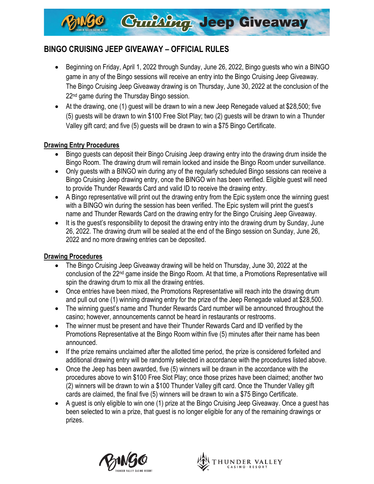

# **BINGO CRUISING JEEP GIVEAWAY – OFFICIAL RULES**

- Beginning on Friday, April 1, 2022 through Sunday, June 26, 2022, Bingo guests who win a BINGO game in any of the Bingo sessions will receive an entry into the Bingo Cruising Jeep Giveaway. The Bingo Cruising Jeep Giveaway drawing is on Thursday, June 30, 2022 at the conclusion of the 22<sup>nd</sup> game during the Thursday Bingo session.
- At the drawing, one (1) guest will be drawn to win a new Jeep Renegade valued at \$28,500; five (5) guests will be drawn to win \$100 Free Slot Play; two (2) guests will be drawn to win a Thunder Valley gift card; and five (5) guests will be drawn to win a \$75 Bingo Certificate.

## **Drawing Entry Procedures**

- Bingo guests can deposit their Bingo Cruising Jeep drawing entry into the drawing drum inside the Bingo Room. The drawing drum will remain locked and inside the Bingo Room under surveillance.
- Only guests with a BINGO win during any of the regularly scheduled Bingo sessions can receive a Bingo Cruising Jeep drawing entry, once the BINGO win has been verified. Eligible guest will need to provide Thunder Rewards Card and valid ID to receive the drawing entry.
- A Bingo representative will print out the drawing entry from the Epic system once the winning guest with a BINGO win during the session has been verified. The Epic system will print the guest's name and Thunder Rewards Card on the drawing entry for the Bingo Cruising Jeep Giveaway.
- It is the guest's responsibility to deposit the drawing entry into the drawing drum by Sunday, June 26, 2022. The drawing drum will be sealed at the end of the Bingo session on Sunday, June 26, 2022 and no more drawing entries can be deposited.

#### **Drawing Procedures**

- The Bingo Cruising Jeep Giveaway drawing will be held on Thursday, June 30, 2022 at the conclusion of the 22nd game inside the Bingo Room. At that time, a Promotions Representative will spin the drawing drum to mix all the drawing entries.
- Once entries have been mixed, the Promotions Representative will reach into the drawing drum and pull out one (1) winning drawing entry for the prize of the Jeep Renegade valued at \$28,500.
- The winning guest's name and Thunder Rewards Card number will be announced throughout the casino; however, announcements cannot be heard in restaurants or restrooms.
- The winner must be present and have their Thunder Rewards Card and ID verified by the Promotions Representative at the Bingo Room within five (5) minutes after their name has been announced.
- If the prize remains unclaimed after the allotted time period, the prize is considered forfeited and additional drawing entry will be randomly selected in accordance with the procedures listed above.
- Once the Jeep has been awarded, five (5) winners will be drawn in the accordance with the procedures above to win \$100 Free Slot Play; once those prizes have been claimed; another two (2) winners will be drawn to win a \$100 Thunder Valley gift card. Once the Thunder Valley gift cards are claimed, the final five (5) winners will be drawn to win a \$75 Bingo Certificate.
- A guest is only eligible to win one (1) prize at the Bingo Cruising Jeep Giveaway. Once a guest has been selected to win a prize, that guest is no longer eligible for any of the remaining drawings or prizes.